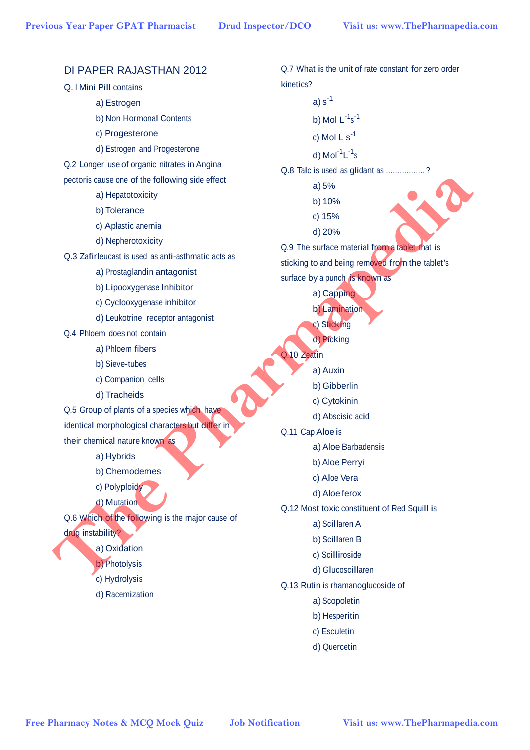| DI PAPER RAJASTHAN 2012                            | Q.7 What is the unit of rate constant for zero order |  |
|----------------------------------------------------|------------------------------------------------------|--|
| Q. I Mini Pill contains                            | kinetics?                                            |  |
| a) Estrogen                                        | a) $s^{-1}$                                          |  |
| b) Non Hormonal Contents                           | b) Mol $L^{-1} s^{-1}$                               |  |
| c) Progesterone                                    | c) Mol $L s^{-1}$                                    |  |
| d) Estrogen and Progesterone                       | d) $Mol-1L-1s$                                       |  |
| Q.2 Longer use of organic nitrates in Angina       | Q.8 Talc is used as glidant as ?                     |  |
| pectoris cause one of the following side effect    | a) 5%                                                |  |
| a) Hepatotoxicity                                  | b) 10%                                               |  |
| b) Tolerance                                       | c) 15%                                               |  |
| c) Aplastic anemia                                 | d) 20%                                               |  |
| d) Nepherotoxicity                                 | Q.9 The surface material from a tablet that is       |  |
| Q.3 Zafirleucast is used as anti-asthmatic acts as | sticking to and being removed from the tablet's      |  |
| a) Prostaglandin antagonist                        | surface by a punch is known as                       |  |
| b) Lipooxygenase Inhibitor                         | a) Capping                                           |  |
| c) Cyclooxygenase inhibitor                        | b) Lamination                                        |  |
| d) Leukotrine receptor antagonist                  | c) Sticking                                          |  |
| Q.4 Phloem does not contain                        | d) Picking                                           |  |
| a) Phloem fibers                                   | Q.10 Zeatin                                          |  |
| b) Sieve-tubes                                     | a) Auxin                                             |  |
| c) Companion cells                                 | b) Gibberlin                                         |  |
| d) Tracheids                                       | c) Cytokinin                                         |  |
| Q.5 Group of plants of a species which have        | d) Abscisic acid                                     |  |
| identical morphological characters but differ in   | Q.11 Cap Aloe is                                     |  |
| their chemical nature known as                     | a) Aloe Barbadensis                                  |  |
| a) Hybrids                                         | b) Aloe Perryi                                       |  |
| b) Chemodemes                                      | c) Aloe Vera                                         |  |
| c) Polyploidy                                      | d) Aloe ferox                                        |  |
| d) Mutation                                        | Q.12 Most toxic constituent of Red Squill is         |  |
| Q.6 Which of the following is the major cause of   | a) Scillaren A                                       |  |
| drug instability?                                  | b) Scillaren B                                       |  |
| a) Oxidation                                       | c) Scilliroside                                      |  |
| b) Photolysis                                      | d) Glucoscillaren                                    |  |
| c) Hydrolysis                                      | Q.13 Rutin is rhamanoglucoside of                    |  |
| d) Racemization                                    | a) Scopoletin                                        |  |
|                                                    | b) Hesperitin                                        |  |
|                                                    | c) Esculetin                                         |  |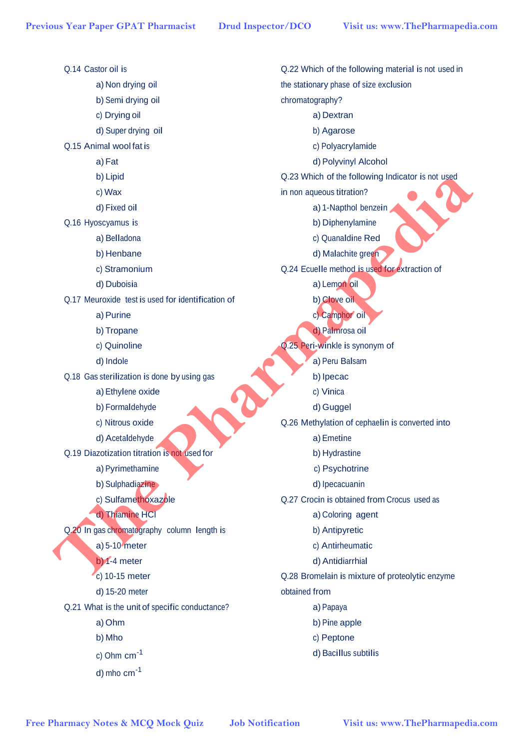Q.14 Castor oil is a) Non drying oil b) Semi drying oil c) Drying oil d) Super drying oil Q.15 Animal wool fat is a) Fat b) Lipid c) Wax d) Fixed oil Q.16 Hyoscyamus is a) Belladona b) Henbane c) Stramonium d) Duboisia Q.17 Meuroxide test is used for identification of a) Purine b) Tropane c) Quinoline d) Indole Q.18 Gas sterilization is done by using gas a) Ethylene oxide b) Formaldehyde c) Nitrous oxide d) Acetaldehyde Q.19 Diazotization titration is not used for a) Pyrimethamine b) Sulphadiazine c) Sulfamethoxazole d) Thiamine HCl Q.20 In gas chromatography column length is a) 5-10 meter b) 1-4 meter c) 10-15 meter d) 15-20 meter Q.21 What is the unit of specific conductance? a) Ohm b) Mho c) Ohm cm-1 d) mho cm-1 Q.22 Which of the following material is not used in the stationary phase of size exclusion chromatography? a) Dextran b) Agarose c) Polyacrylamide d) Polyvinyl Alcohol Q.23 Which of the following Indicator is not used in non aqueous titration? a) 1-Napthol benzein b) Diphenylamine c) Quanaldine Red d) Malachite green Q.24 Ecuelle method is used for extraction of a) Lemon oil b) Clove oil c) Camphor oil d) Palmrosa oil Q.25 Peri-winkle is synonym of a) Peru Balsam b) Ipecac c) Vinica d) Guggel Q.26 Methylation of cephaelin is converted into a) Emetine b) Hydrastine c) Psychotrine d) Ipecacuanin Q.27 Crocin is obtained from Crocus used as a) Coloring agent b) Antipyretic c) Antirheumatic d) Antidiarrhial Q.28 Bromelain is mixture of proteolytic enzyme obtained from a) Papaya b) Pine apple c) Peptone d) Bacillus subtilis Previous Year Paper GPAT Pharmacist **Drud Inspector/DCO** Visit us: www.ThePharmapedia.com<br>
a Chi-Brand Origin of the Store division of the Store division of the Store division of the Store division of the Store division of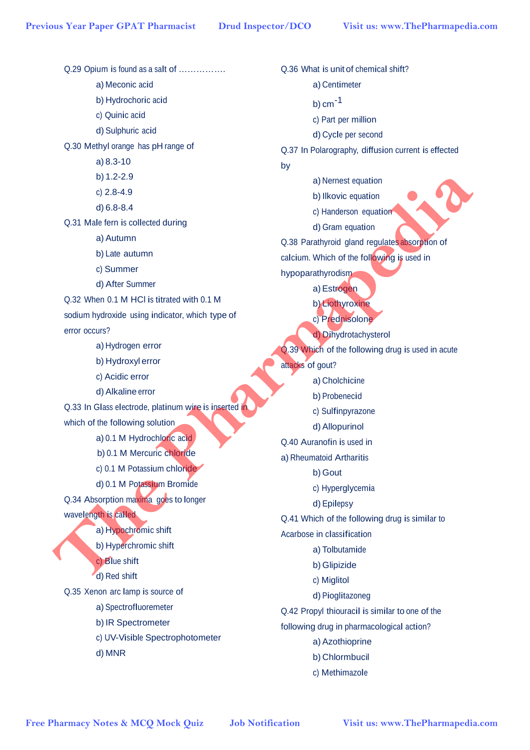Q.29 Opium is found as a salt of ……………. a) Meconic acid b) Hydrochoric acid c) Quinic acid d) Sulphuric acid Q.30 Methyl orange has pH range of a) 8.3-10 b) 1.2-2.9 c) 2.8-4.9 d) 6.8-8.4 Q.31 Male fern is collected during a) Autumn b) Late autumn c) Summer d) After Summer Q.32 When 0.1 M HCl is titrated with 0.1 M sodium hydroxide using indicator, which type of error occurs? a) Hydrogen error b) Hydroxyl error c) Acidic error d) Alkaline error Q.33 In Glass electrode, platinum wire is inserted in which of the following solution a) 0.1 M Hydrochloric acid b) 0.1 M Mercuric chloride c) 0.1 M Potassium chloride d) 0.1 M Potassium Bromide Q.34 Absorption maxima goes to longer wavelength is called a) Hypochromic shift b) Hyperchromic shift c) Blue shift d) Red shift Q.35 Xenon arc lamp is source of a) Spectrofluoremeter b) IR Spectrometer c) UV-Visible Spectrophotometer d) MNR Q.36 What is unit of chemical shift? a) Centimeter b)  $cm<sup>-1</sup>$ c) Part per million d) Cycle per second Q.37 In Polarography, diffusion current is effected by a) Nernest equation b) Ilkovic equation c) Handerson equation d) Gram equation Q.38 Parathyroid gland regulates absorption of calcium. Which of the following is used in hypoparathyrodism a) Estrogen b) Liothyroxine c) Prednisolone d) Dihydrotachysterol Q.39 Which of the following drug is used in acute attacks of gout? a) Cholchicine b) Probenecid c) Sulfinpyrazone d) Allopurinol Q.40 Auranofin is used in a) Rheumatoid Artharitis b) Gout c) Hyperglycemia d) Epilepsy Q.41 Which of the following drug is similar to Acarbose in classification a) Tolbutamide b) Glipizide c) Miglitol d) Pioglitazoneg Q.42 Propyl thiouracil is similar to one of the following drug in pharmacological action? a) Azothioprine b) Chlormbucil c) Methimazole Previous Year Paper GPAT Pharmacist Drud Inspector/DCO Visit us: www.ThePharmapedia.com<br> **CON Optiom is formed a**<br> **Bridge of the Side of the Side of the Side of the Side of the Side of the Side of the Side of the Side of**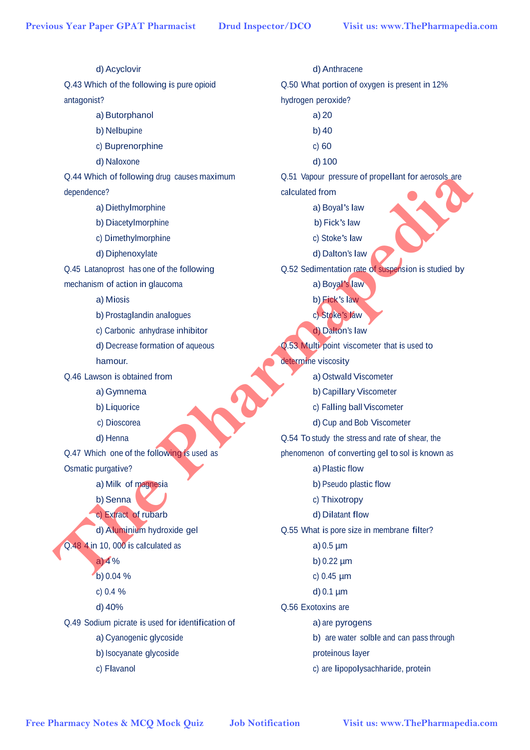d) Acyclovir Q.43 Which of the following is pure opioid antagonist? a) Butorphanol b) Nelbupine c) Buprenorphine d) Naloxone Q.44 Which of following drug causes maximum dependence? a) Diethylmorphine b) Diacetylmorphine c) Dimethylmorphine d) Diphenoxylate Q.45 Latanoprost has one of the following mechanism of action in glaucoma a) Miosis b) Prostaglandin analogues c) Carbonic anhydrase inhibitor d) Decrease formation of aqueous hamour. Q.46 Lawson is obtained from a) Gymnema b) Liquorice c) Dioscorea d) Henna Q.47 Which one of the following is used as Osmatic purgative? a) Milk of magnesia b) Senna c) Extract of rubarb d) Aluminium hydroxide gel Q.48 4 in 10, 000 is calculated as  $a) 4%$ b) 0.04 % c) 0.4 % d) 40% Q.49 Sodium picrate is used for identification of a) Cyanogenic glycoside b) Isocyanate glycoside c) Flavanol d) Anthracene Q.50 What portion of oxygen is present in 12% hydrogen peroxide? a) 20 b) 40 c) 60 d) 100 Q.51 Vapour pressure of propellant for aerosols are calculated from a) Boyal's law b) Fick's law c) Stoke's law d) Dalton's law Q.52 Sedimentation rate of suspension is studied by a) Boyal's law b) Fick's law c) Stoke's law d) Dalton's law Q.53 Multi point viscometer that is used to determine viscosity a) Ostwald Viscometer b) Capillary Viscometer c) Falling ball Viscometer d) Cup and Bob Viscometer Q.54 To study the stress and rate of shear, the phenomenon of converting gel to sol is known as a) Plastic flow b) Pseudo plastic flow c) Thixotropy d) Dilatant flow Q.55 What is pore size in membrane filter? a) 0.5 µm b) 0.22 µm c) 0.45 µm d) 0.1 µm Q.56 Exotoxins are a) are pyrogens b) are water solble and can pass through proteinous layer c) are lipopolysachharide, protein Previous Year Paper GPAT Pharmacist Drud Inspector/DCO Visit us: www.ThePharmapedia.com<br>
(d) Advisorius<br>
(d) White Collection (d) White Collection (d) Collection (d) Collection (d) Collection (d) Collection (d)<br>
and Data C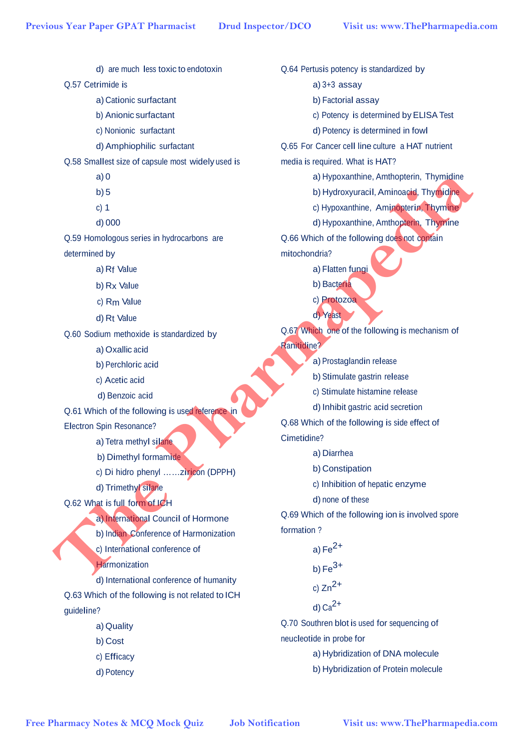d) are much less toxic to endotoxin Q.57 Cetrimide is a) Cationic surfactant b) Anionic surfactant c) Nonionic surfactant d) Amphiophilic surfactant Q.58 Smallest size of capsule most widely used is a) 0 b) 5 c) 1 d) 000 Q.59 Homologous series in hydrocarbons are determined by a) Rf Value b) Rx Value c) Rm Value d) Rt Value Q.60 Sodium methoxide is standardized by a) Oxallic acid b) Perchloric acid c) Acetic acid d) Benzoic acid Q.61 Which of the following is used reference in Electron Spin Resonance? a) Tetra methyl silane b) Dimethyl formamide c) Di hidro phenyl ……ziricon (DPPH) d) Trimethyl silane Q.62 What is full form of ICH a) International Council of Hormone b) Indian Conference of Harmonization c) International conference of **Harmonization** d) International conference of humanity Q.63 Which of the following is not related to ICH quideline? a) Quality b) Cost c) Efficacy d) Potency Q.64 Pertusis potency is standardized by a) 3+3 assay b) Factorial assay c) Potency is determined byELISA Test d) Potency is determined in fowl Q.65 For Cancer cell line culture a HAT nutrient media is required. What is HAT? a) Hypoxanthine, Amthopterin, Thymidine b) Hydroxyuracil, Aminoacid, Thymidine c) Hypoxanthine, Aminopterin, Thymine d) Hypoxanthine, Amthopterin, Thymine Q.66 Which of the following does not contain mitochondria? a) Flatten fungi b) Bacteria c) Protozoa d) Yeast Q.67 Which one of the following is mechanism of Ranitidine? a) Prostaglandin release b) Stimulate gastrin release c) Stimulate histamine release d) Inhibit gastric acid secretion Q.68 Which of the following is side effect of Cimetidine? a) Diarrhea b) Constipation c) Inhibition of hepatic enzyme d) none of these Q.69 Which of the following ion is involved spore formation ? a)  $Fe<sup>2+</sup>$ b)  $Fe<sup>3+</sup>$ c)  $Zn^{2+}$ d)  $Ca<sup>2+</sup>$ Q.70 Southren blot is used for sequencing of neucleotide in probe for a) Hybridization of DNA molecule b) Hybridization of Protein molecule **The Pharmapedia Control of the Pharmacist Previous Year Paper GPAT Pharmacist Drud Inspector/DCO** Visit us: www.ThePharmapedia.com<br> **BCS Control surfactor**<br> **BCS Control surfactor**<br> **BCS** Control surfactor<br> **EXECUT AN**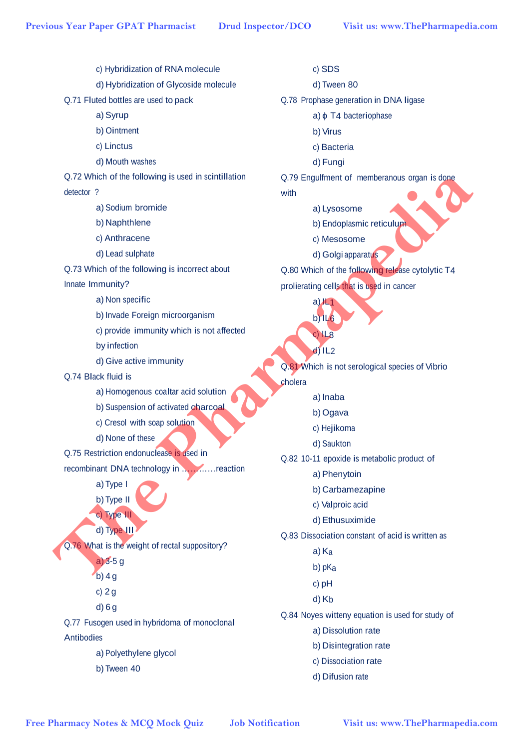c) Hybridization of RNA molecule d) Hybridization of Glycoside molecule Q.71 Fluted bottles are used to pack a) Syrup b) Ointment c) Linctus d) Mouth washes Q.72 Which of the following is used in scintillation detector ? a) Sodium bromide b) Naphthlene c) Anthracene d) Lead sulphate Q.73 Which of the following is incorrect about Innate Immunity? a) Non specific b) Invade Foreign microorganism c) provide immunity which is not affected by infection d) Give active immunity Q.74 Black fluid is a) Homogenous coaltar acid solution b) Suspension of activated charcoal c) Cresol with soap solution d) None of these Q.75 Restriction endonuclease is used in recombinant DNA technology in …………reaction a) Type I b) Type II c) Type III d) Type III Q.76 What is the weight of rectal suppository? a) 3-5 g  $b)$  4 g c) 2 g d) 6 g Q.77 Fusogen used in hybridoma of monoclonal Antibodies a) Polyethylene glycol b) Tween 40 c) SDS d) Tween 80 Q.78 Prophase generation in DNA ligase a)  $\phi$  T4 bacteriophase b) Virus c) Bacteria d) Fungi Q.79 Engulfment of memberanous organ is done with a) Lysosome b) Endoplasmic reticulum c) Mesosome d) Golgi apparatus Q.80 Which of the following release cytolytic T4 prolierating cells that is used in cancer a) $H_1$  $b)$  IL<sub>6</sub> c) IL8  $d$ ) IL<sub>2</sub> Q.81 Which is not serological species of Vibrio cholera a) Inaba b) Ogava c) Hejikoma d) Saukton Q.82 10-11 epoxide is metabolic product of a) Phenytoin b) Carbamezapine c) Valproic acid d) Ethusuximide Q.83 Dissociation constant of acid is written as a) Ka b) pKa c) pH d) Kb Q.84 Noyes witteny equation is used for study of a) Dissolution rate b) Disintegration rate c) Dissociation rate d) Difusion rate Previous Year Paper GPAT Pharmacist Drud Inspector/DCO Visit us: www.ThePharmapedia.com<br>
(a) the Nordonton GNA medical<br>
(a) the Model are used by post and control of the SCO of the SCO of the SCO of the SCO of the SCO of t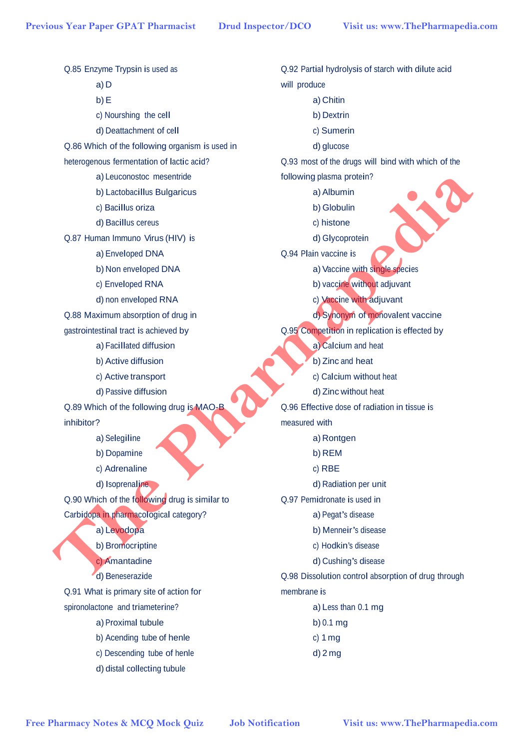Q.85 Enzyme Trypsin is used as a) D b) E c) Nourshing the cell d) Deattachment of cell Q.86 Which of the following organism is used in heterogenous fermentation of lactic acid? a) Leuconostoc mesentride b) Lactobacillus Bulgaricus c) Bacillus oriza d) Bacillus cereus Q.87 Human Immuno Virus (HIV) is a) Enveloped DNA b) Non enveloped DNA c) Enveloped RNA d) non enveloped RNA Q.88 Maximum absorption of drug in gastrointestinal tract is achieved by a) Facillated diffusion b) Active diffusion c) Active transport d) Passive diffusion Q.89 Which of the following drug is MAO-B inhibitor? a) Selegiline b) Dopamine c) Adrenaline d) Isoprenaline Q.90 Which of the following drug is similar to Carbidopa in pharmacological category? a) Levodopa b) Bromocriptine c) Amantadine d) Beneserazide Q.91 What is primary site of action for spironolactone and triameterine? a) Proximal tubule b) Acending tube of henle c) Descending tube of henle d) distal collecting tubule Q.92 Partial hydrolysis of starch with dilute acid will produce a) Chitin b) Dextrin c) Sumerin d) glucose Q.93 most of the drugs will bind with which of the following plasma protein? a) Albumin b) Globulin c) histone d) Glycoprotein Q.94 Plain vaccine is a) Vaccine with single species b) vaccine without adjuvant c) Vaccine with adjuvant d) Synonym of monovalent vaccine Q.95 Competition in replication is effected by a) Calcium and heat b) Zinc and heat c) Calcium without heat d) Zinc without heat Q.96 Effective dose of radiation in tissue is measured with a) Rontgen b) REM c) RBE d) Radiation per unit Q.97 Pemidronate is used in a) Pegat's disease b) Menneir's disease c) Hodkin's disease d) Cushing's disease Q.98 Dissolution control absorption of drug through membrane is a) Less than 0.1 mg b) 0.1 mg c) 1 mg d) 2 mg Previous Year Paper GPAT Pharmacist Drud Inspector/DCO Visit us: www.ThePharmapedia.com<br>
(DS Encyre Trypsh is tend at<br>
2019 Parmal of the Month of the Subset of the Subset<br>
of Which of the Moholing terms is and in (Dollar